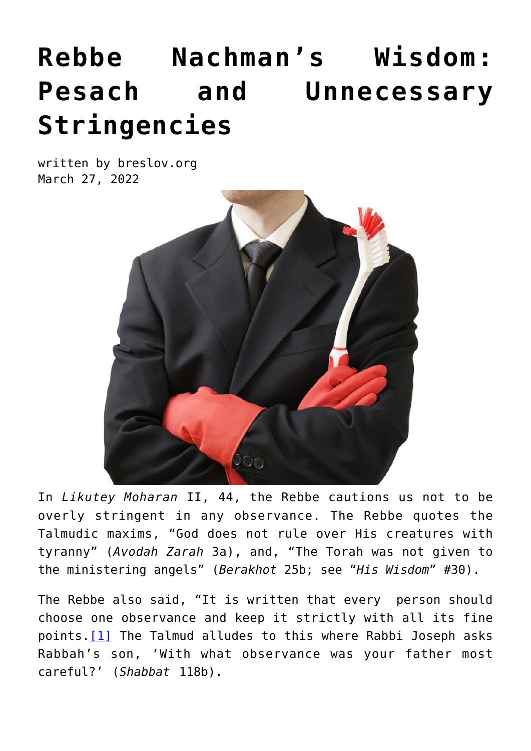## **[Rebbe Nachman's Wisdom:](https://breslov.org/rebbe-nachmans-wisdom-pesach-and-unnecessary-stringencies/) [Pesach and Unnecessary](https://breslov.org/rebbe-nachmans-wisdom-pesach-and-unnecessary-stringencies/) [Stringencies](https://breslov.org/rebbe-nachmans-wisdom-pesach-and-unnecessary-stringencies/)**

written by breslov.org March 27, 2022



In *Likutey Moharan* II, 44, the Rebbe cautions us not to be overly stringent in any observance. The Rebbe quotes the Talmudic maxims, "God does not rule over His creatures with tyranny" (*Avodah Zarah* 3a), and, "The Torah was not given to the ministering angels" (*Berakhot* 25b; see "*His Wisdom*" #30).

The Rebbe also said, "It is written that every person should choose one observance and keep it strictly with all its fine points. [\[1\]](file:///C:/Users/Yossi/AppData/Local/Microsoft/Windows/Temporary%20Internet%20Files/Content.Outlook/3SIZLS62/Wisdom%20~%204%20-%20Bell%20(4).doc#_ftn1) The Talmud alludes to this where Rabbi Joseph asks Rabbah's son, 'With what observance was your father most careful?' (*Shabbat* 118b).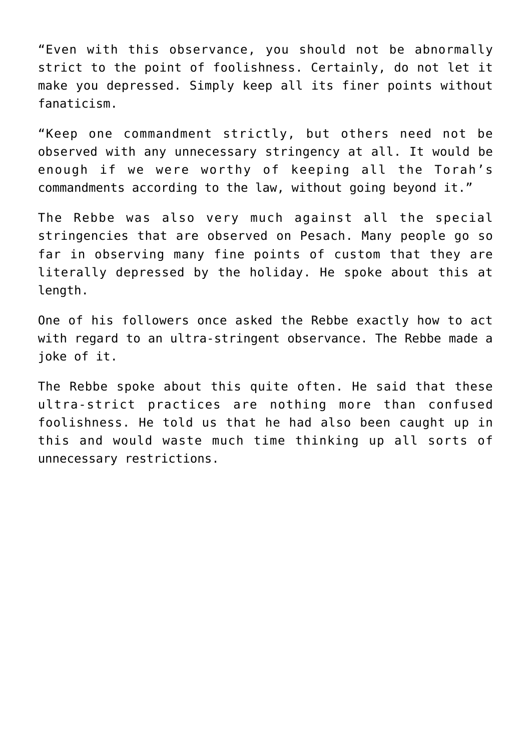"Even with this observance, you should not be abnormally strict to the point of foolishness. Certainly, do not let it make you depressed. Simply keep all its finer points without fanaticism.

"Keep one commandment strictly, but others need not be observed with any unnecessary stringency at all. It would be enough if we were worthy of keeping all the Torah's commandments according to the law, without going beyond it."

The Rebbe was also very much against all the special stringencies that are observed on Pesach. Many people go so far in observing many fine points of custom that they are literally depressed by the holiday. He spoke about this at length.

One of his followers once asked the Rebbe exactly how to act with regard to an ultra-stringent observance. The Rebbe made a joke of it.

The Rebbe spoke about this quite often. He said that these ultra-strict practices are nothing more than confused foolishness. He told us that he had also been caught up in this and would waste much time thinking up all sorts of unnecessary restrictions.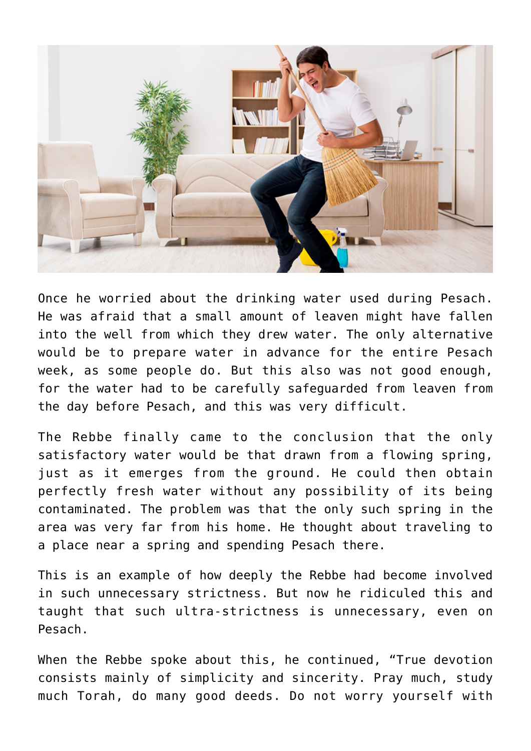

Once he worried about the drinking water used during Pesach. He was afraid that a small amount of leaven might have fallen into the well from which they drew water. The only alternative would be to prepare water in advance for the entire Pesach week, as some people do. But this also was not good enough, for the water had to be carefully safeguarded from leaven from the day before Pesach, and this was very difficult.

The Rebbe finally came to the conclusion that the only satisfactory water would be that drawn from a flowing spring, just as it emerges from the ground. He could then obtain perfectly fresh water without any possibility of its being contaminated. The problem was that the only such spring in the area was very far from his home. He thought about traveling to a place near a spring and spending Pesach there.

This is an example of how deeply the Rebbe had become involved in such unnecessary strictness. But now he ridiculed this and taught that such ultra-strictness is unnecessary, even on Pesach.

When the Rebbe spoke about this, he continued, "True devotion consists mainly of simplicity and sincerity. Pray much, study much Torah, do many good deeds. Do not worry yourself with